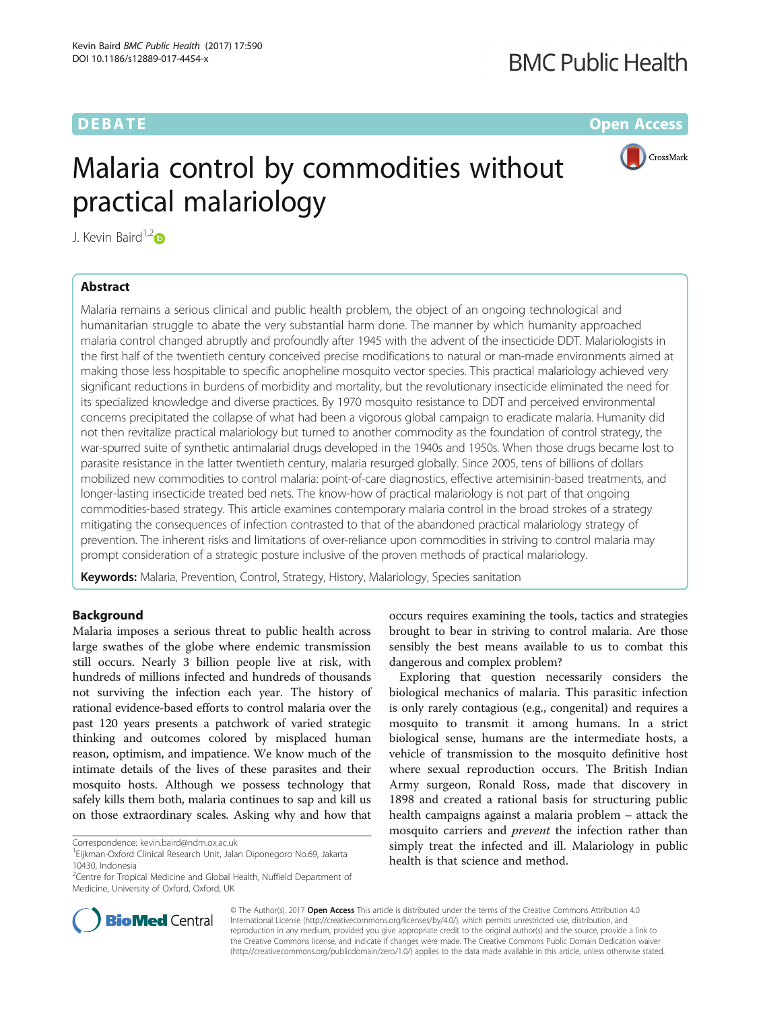# **BMC Public Health**

**DEBATE CONSERVATION CONSERVATION** 



# Malaria control by commodities without practical malariology

J. Kevin Baird $1,2$  $1,2$ D

### Abstract

Malaria remains a serious clinical and public health problem, the object of an ongoing technological and humanitarian struggle to abate the very substantial harm done. The manner by which humanity approached malaria control changed abruptly and profoundly after 1945 with the advent of the insecticide DDT. Malariologists in the first half of the twentieth century conceived precise modifications to natural or man-made environments aimed at making those less hospitable to specific anopheline mosquito vector species. This practical malariology achieved very significant reductions in burdens of morbidity and mortality, but the revolutionary insecticide eliminated the need for its specialized knowledge and diverse practices. By 1970 mosquito resistance to DDT and perceived environmental concerns precipitated the collapse of what had been a vigorous global campaign to eradicate malaria. Humanity did not then revitalize practical malariology but turned to another commodity as the foundation of control strategy, the war-spurred suite of synthetic antimalarial drugs developed in the 1940s and 1950s. When those drugs became lost to parasite resistance in the latter twentieth century, malaria resurged globally. Since 2005, tens of billions of dollars mobilized new commodities to control malaria: point-of-care diagnostics, effective artemisinin-based treatments, and longer-lasting insecticide treated bed nets. The know-how of practical malariology is not part of that ongoing commodities-based strategy. This article examines contemporary malaria control in the broad strokes of a strategy mitigating the consequences of infection contrasted to that of the abandoned practical malariology strategy of prevention. The inherent risks and limitations of over-reliance upon commodities in striving to control malaria may prompt consideration of a strategic posture inclusive of the proven methods of practical malariology.

Keywords: Malaria, Prevention, Control, Strategy, History, Malariology, Species sanitation

#### Background

Malaria imposes a serious threat to public health across large swathes of the globe where endemic transmission still occurs. Nearly 3 billion people live at risk, with hundreds of millions infected and hundreds of thousands not surviving the infection each year. The history of rational evidence-based efforts to control malaria over the past 120 years presents a patchwork of varied strategic thinking and outcomes colored by misplaced human reason, optimism, and impatience. We know much of the intimate details of the lives of these parasites and their mosquito hosts. Although we possess technology that safely kills them both, malaria continues to sap and kill us on those extraordinary scales. Asking why and how that

occurs requires examining the tools, tactics and strategies brought to bear in striving to control malaria. Are those sensibly the best means available to us to combat this dangerous and complex problem?

Exploring that question necessarily considers the biological mechanics of malaria. This parasitic infection is only rarely contagious (e.g., congenital) and requires a mosquito to transmit it among humans. In a strict biological sense, humans are the intermediate hosts, a vehicle of transmission to the mosquito definitive host where sexual reproduction occurs. The British Indian Army surgeon, Ronald Ross, made that discovery in 1898 and created a rational basis for structuring public health campaigns against a malaria problem – attack the mosquito carriers and *prevent* the infection rather than simply treat the infected and ill. Malariology in public health is that science and method.



© The Author(s). 2017 **Open Access** This article is distributed under the terms of the Creative Commons Attribution 4.0 International License [\(http://creativecommons.org/licenses/by/4.0/](http://creativecommons.org/licenses/by/4.0/)), which permits unrestricted use, distribution, and reproduction in any medium, provided you give appropriate credit to the original author(s) and the source, provide a link to the Creative Commons license, and indicate if changes were made. The Creative Commons Public Domain Dedication waiver [\(http://creativecommons.org/publicdomain/zero/1.0/](http://creativecommons.org/publicdomain/zero/1.0/)) applies to the data made available in this article, unless otherwise stated.

Correspondence: [kevin.baird@ndm.ox.ac.uk](mailto:kevin.baird@ndm.ox.ac.uk) <sup>1</sup>

<sup>&</sup>lt;sup>1</sup> Eijkman-Oxford Clinical Research Unit, Jalan Diponegoro No.69, Jakarta 10430, Indonesia

<sup>&</sup>lt;sup>2</sup>Centre for Tropical Medicine and Global Health, Nuffield Department of Medicine, University of Oxford, Oxford, UK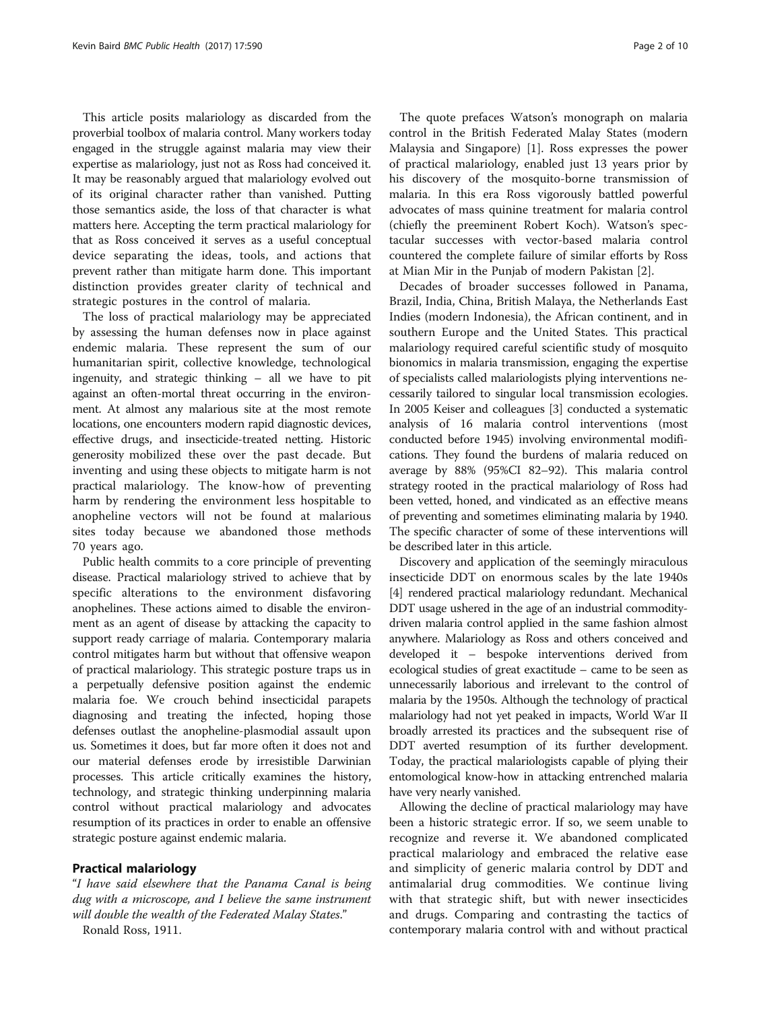This article posits malariology as discarded from the proverbial toolbox of malaria control. Many workers today engaged in the struggle against malaria may view their expertise as malariology, just not as Ross had conceived it. It may be reasonably argued that malariology evolved out of its original character rather than vanished. Putting those semantics aside, the loss of that character is what matters here. Accepting the term practical malariology for that as Ross conceived it serves as a useful conceptual device separating the ideas, tools, and actions that prevent rather than mitigate harm done. This important distinction provides greater clarity of technical and strategic postures in the control of malaria.

The loss of practical malariology may be appreciated by assessing the human defenses now in place against endemic malaria. These represent the sum of our humanitarian spirit, collective knowledge, technological ingenuity, and strategic thinking – all we have to pit against an often-mortal threat occurring in the environment. At almost any malarious site at the most remote locations, one encounters modern rapid diagnostic devices, effective drugs, and insecticide-treated netting. Historic generosity mobilized these over the past decade. But inventing and using these objects to mitigate harm is not practical malariology. The know-how of preventing harm by rendering the environment less hospitable to anopheline vectors will not be found at malarious sites today because we abandoned those methods 70 years ago.

Public health commits to a core principle of preventing disease. Practical malariology strived to achieve that by specific alterations to the environment disfavoring anophelines. These actions aimed to disable the environment as an agent of disease by attacking the capacity to support ready carriage of malaria. Contemporary malaria control mitigates harm but without that offensive weapon of practical malariology. This strategic posture traps us in a perpetually defensive position against the endemic malaria foe. We crouch behind insecticidal parapets diagnosing and treating the infected, hoping those defenses outlast the anopheline-plasmodial assault upon us. Sometimes it does, but far more often it does not and our material defenses erode by irresistible Darwinian processes. This article critically examines the history, technology, and strategic thinking underpinning malaria control without practical malariology and advocates resumption of its practices in order to enable an offensive strategic posture against endemic malaria.

### Practical malariology

"I have said elsewhere that the Panama Canal is being dug with a microscope, and I believe the same instrument will double the wealth of the Federated Malay States." Ronald Ross, 1911.

The quote prefaces Watson's monograph on malaria control in the British Federated Malay States (modern Malaysia and Singapore) [[1](#page-8-0)]. Ross expresses the power of practical malariology, enabled just 13 years prior by his discovery of the mosquito-borne transmission of malaria. In this era Ross vigorously battled powerful advocates of mass quinine treatment for malaria control (chiefly the preeminent Robert Koch). Watson's spectacular successes with vector-based malaria control countered the complete failure of similar efforts by Ross at Mian Mir in the Punjab of modern Pakistan [[2\]](#page-8-0).

Decades of broader successes followed in Panama, Brazil, India, China, British Malaya, the Netherlands East Indies (modern Indonesia), the African continent, and in southern Europe and the United States. This practical malariology required careful scientific study of mosquito bionomics in malaria transmission, engaging the expertise of specialists called malariologists plying interventions necessarily tailored to singular local transmission ecologies. In 2005 Keiser and colleagues [[3\]](#page-8-0) conducted a systematic analysis of 16 malaria control interventions (most conducted before 1945) involving environmental modifications. They found the burdens of malaria reduced on average by 88% (95%CI 82–92). This malaria control strategy rooted in the practical malariology of Ross had been vetted, honed, and vindicated as an effective means of preventing and sometimes eliminating malaria by 1940. The specific character of some of these interventions will be described later in this article.

Discovery and application of the seemingly miraculous insecticide DDT on enormous scales by the late 1940s [[4](#page-8-0)] rendered practical malariology redundant. Mechanical DDT usage ushered in the age of an industrial commoditydriven malaria control applied in the same fashion almost anywhere. Malariology as Ross and others conceived and developed it – bespoke interventions derived from ecological studies of great exactitude – came to be seen as unnecessarily laborious and irrelevant to the control of malaria by the 1950s. Although the technology of practical malariology had not yet peaked in impacts, World War II broadly arrested its practices and the subsequent rise of DDT averted resumption of its further development. Today, the practical malariologists capable of plying their entomological know-how in attacking entrenched malaria have very nearly vanished.

Allowing the decline of practical malariology may have been a historic strategic error. If so, we seem unable to recognize and reverse it. We abandoned complicated practical malariology and embraced the relative ease and simplicity of generic malaria control by DDT and antimalarial drug commodities. We continue living with that strategic shift, but with newer insecticides and drugs. Comparing and contrasting the tactics of contemporary malaria control with and without practical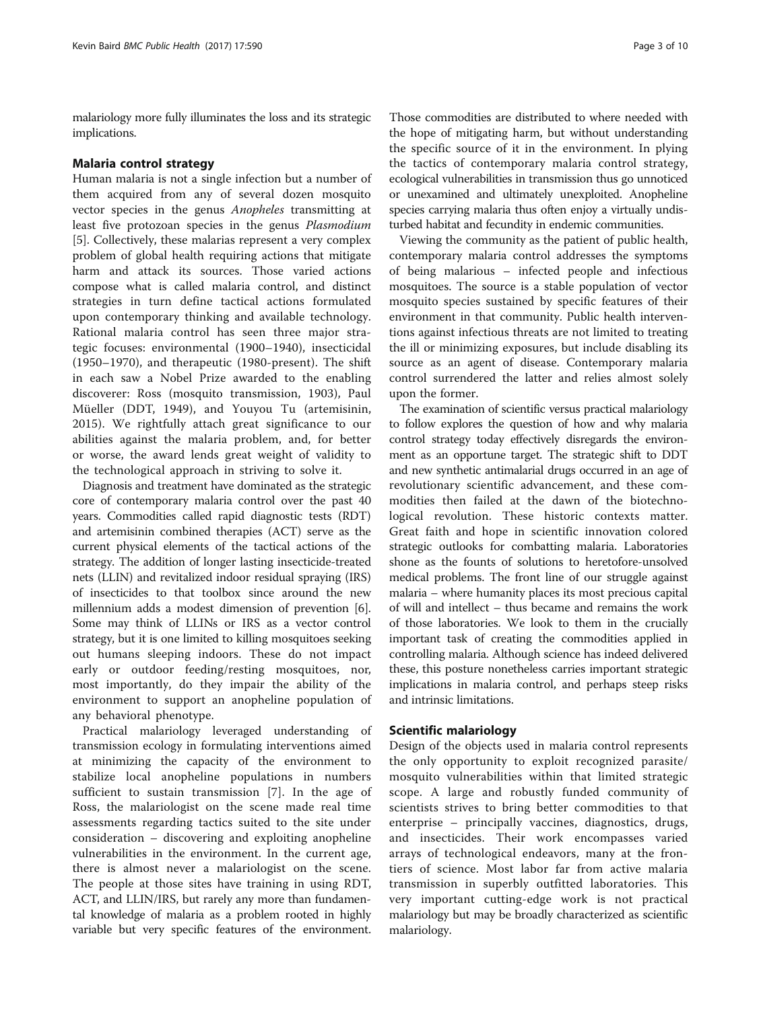malariology more fully illuminates the loss and its strategic implications.

#### Malaria control strategy

Human malaria is not a single infection but a number of them acquired from any of several dozen mosquito vector species in the genus Anopheles transmitting at least five protozoan species in the genus Plasmodium [[5\]](#page-8-0). Collectively, these malarias represent a very complex problem of global health requiring actions that mitigate harm and attack its sources. Those varied actions compose what is called malaria control, and distinct strategies in turn define tactical actions formulated upon contemporary thinking and available technology. Rational malaria control has seen three major strategic focuses: environmental (1900–1940), insecticidal (1950–1970), and therapeutic (1980-present). The shift in each saw a Nobel Prize awarded to the enabling discoverer: Ross (mosquito transmission, 1903), Paul Müeller (DDT, 1949), and Youyou Tu (artemisinin, 2015). We rightfully attach great significance to our abilities against the malaria problem, and, for better or worse, the award lends great weight of validity to the technological approach in striving to solve it.

Diagnosis and treatment have dominated as the strategic core of contemporary malaria control over the past 40 years. Commodities called rapid diagnostic tests (RDT) and artemisinin combined therapies (ACT) serve as the current physical elements of the tactical actions of the strategy. The addition of longer lasting insecticide-treated nets (LLIN) and revitalized indoor residual spraying (IRS) of insecticides to that toolbox since around the new millennium adds a modest dimension of prevention [[6](#page-8-0)]. Some may think of LLINs or IRS as a vector control strategy, but it is one limited to killing mosquitoes seeking out humans sleeping indoors. These do not impact early or outdoor feeding/resting mosquitoes, nor, most importantly, do they impair the ability of the environment to support an anopheline population of any behavioral phenotype.

Practical malariology leveraged understanding of transmission ecology in formulating interventions aimed at minimizing the capacity of the environment to stabilize local anopheline populations in numbers sufficient to sustain transmission [\[7](#page-8-0)]. In the age of Ross, the malariologist on the scene made real time assessments regarding tactics suited to the site under consideration – discovering and exploiting anopheline vulnerabilities in the environment. In the current age, there is almost never a malariologist on the scene. The people at those sites have training in using RDT, ACT, and LLIN/IRS, but rarely any more than fundamental knowledge of malaria as a problem rooted in highly variable but very specific features of the environment.

Those commodities are distributed to where needed with the hope of mitigating harm, but without understanding the specific source of it in the environment. In plying the tactics of contemporary malaria control strategy, ecological vulnerabilities in transmission thus go unnoticed or unexamined and ultimately unexploited. Anopheline species carrying malaria thus often enjoy a virtually undisturbed habitat and fecundity in endemic communities.

Viewing the community as the patient of public health, contemporary malaria control addresses the symptoms of being malarious – infected people and infectious mosquitoes. The source is a stable population of vector mosquito species sustained by specific features of their environment in that community. Public health interventions against infectious threats are not limited to treating the ill or minimizing exposures, but include disabling its source as an agent of disease. Contemporary malaria control surrendered the latter and relies almost solely upon the former.

The examination of scientific versus practical malariology to follow explores the question of how and why malaria control strategy today effectively disregards the environment as an opportune target. The strategic shift to DDT and new synthetic antimalarial drugs occurred in an age of revolutionary scientific advancement, and these commodities then failed at the dawn of the biotechnological revolution. These historic contexts matter. Great faith and hope in scientific innovation colored strategic outlooks for combatting malaria. Laboratories shone as the founts of solutions to heretofore-unsolved medical problems. The front line of our struggle against malaria – where humanity places its most precious capital of will and intellect – thus became and remains the work of those laboratories. We look to them in the crucially important task of creating the commodities applied in controlling malaria. Although science has indeed delivered these, this posture nonetheless carries important strategic implications in malaria control, and perhaps steep risks and intrinsic limitations.

#### Scientific malariology

Design of the objects used in malaria control represents the only opportunity to exploit recognized parasite/ mosquito vulnerabilities within that limited strategic scope. A large and robustly funded community of scientists strives to bring better commodities to that enterprise – principally vaccines, diagnostics, drugs, and insecticides. Their work encompasses varied arrays of technological endeavors, many at the frontiers of science. Most labor far from active malaria transmission in superbly outfitted laboratories. This very important cutting-edge work is not practical malariology but may be broadly characterized as scientific malariology.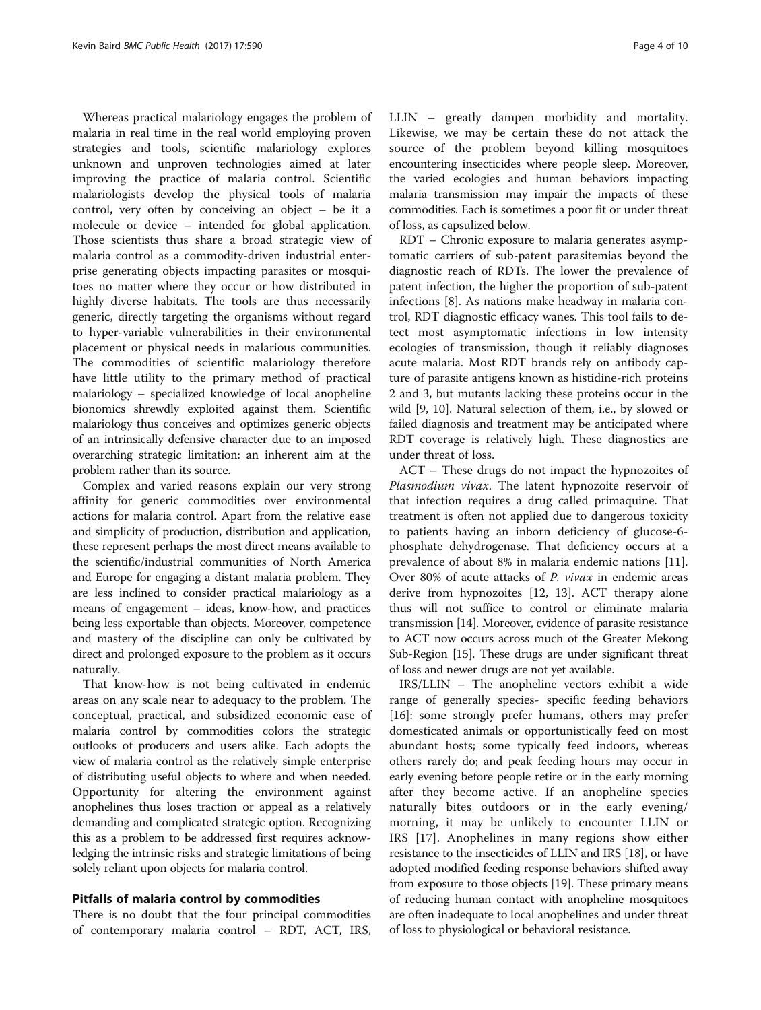Whereas practical malariology engages the problem of malaria in real time in the real world employing proven strategies and tools, scientific malariology explores unknown and unproven technologies aimed at later improving the practice of malaria control. Scientific malariologists develop the physical tools of malaria control, very often by conceiving an object – be it a molecule or device – intended for global application. Those scientists thus share a broad strategic view of malaria control as a commodity-driven industrial enterprise generating objects impacting parasites or mosquitoes no matter where they occur or how distributed in highly diverse habitats. The tools are thus necessarily generic, directly targeting the organisms without regard to hyper-variable vulnerabilities in their environmental placement or physical needs in malarious communities. The commodities of scientific malariology therefore have little utility to the primary method of practical malariology – specialized knowledge of local anopheline bionomics shrewdly exploited against them. Scientific malariology thus conceives and optimizes generic objects of an intrinsically defensive character due to an imposed overarching strategic limitation: an inherent aim at the problem rather than its source.

Complex and varied reasons explain our very strong affinity for generic commodities over environmental actions for malaria control. Apart from the relative ease and simplicity of production, distribution and application, these represent perhaps the most direct means available to the scientific/industrial communities of North America and Europe for engaging a distant malaria problem. They are less inclined to consider practical malariology as a means of engagement – ideas, know-how, and practices being less exportable than objects. Moreover, competence and mastery of the discipline can only be cultivated by direct and prolonged exposure to the problem as it occurs naturally.

That know-how is not being cultivated in endemic areas on any scale near to adequacy to the problem. The conceptual, practical, and subsidized economic ease of malaria control by commodities colors the strategic outlooks of producers and users alike. Each adopts the view of malaria control as the relatively simple enterprise of distributing useful objects to where and when needed. Opportunity for altering the environment against anophelines thus loses traction or appeal as a relatively demanding and complicated strategic option. Recognizing this as a problem to be addressed first requires acknowledging the intrinsic risks and strategic limitations of being solely reliant upon objects for malaria control.

#### Pitfalls of malaria control by commodities

There is no doubt that the four principal commodities of contemporary malaria control – RDT, ACT, IRS, LLIN – greatly dampen morbidity and mortality. Likewise, we may be certain these do not attack the source of the problem beyond killing mosquitoes encountering insecticides where people sleep. Moreover, the varied ecologies and human behaviors impacting malaria transmission may impair the impacts of these commodities. Each is sometimes a poor fit or under threat of loss, as capsulized below.

RDT – Chronic exposure to malaria generates asymptomatic carriers of sub-patent parasitemias beyond the diagnostic reach of RDTs. The lower the prevalence of patent infection, the higher the proportion of sub-patent infections [[8\]](#page-8-0). As nations make headway in malaria control, RDT diagnostic efficacy wanes. This tool fails to detect most asymptomatic infections in low intensity ecologies of transmission, though it reliably diagnoses acute malaria. Most RDT brands rely on antibody capture of parasite antigens known as histidine-rich proteins 2 and 3, but mutants lacking these proteins occur in the wild [\[9](#page-8-0), [10\]](#page-8-0). Natural selection of them, i.e., by slowed or failed diagnosis and treatment may be anticipated where RDT coverage is relatively high. These diagnostics are under threat of loss.

ACT – These drugs do not impact the hypnozoites of Plasmodium vivax. The latent hypnozoite reservoir of that infection requires a drug called primaquine. That treatment is often not applied due to dangerous toxicity to patients having an inborn deficiency of glucose-6 phosphate dehydrogenase. That deficiency occurs at a prevalence of about 8% in malaria endemic nations [\[11](#page-8-0)]. Over 80% of acute attacks of P. vivax in endemic areas derive from hypnozoites [\[12](#page-8-0), [13](#page-8-0)]. ACT therapy alone thus will not suffice to control or eliminate malaria transmission [\[14\]](#page-8-0). Moreover, evidence of parasite resistance to ACT now occurs across much of the Greater Mekong Sub-Region [\[15\]](#page-8-0). These drugs are under significant threat of loss and newer drugs are not yet available.

IRS/LLIN – The anopheline vectors exhibit a wide range of generally species- specific feeding behaviors [[16\]](#page-8-0): some strongly prefer humans, others may prefer domesticated animals or opportunistically feed on most abundant hosts; some typically feed indoors, whereas others rarely do; and peak feeding hours may occur in early evening before people retire or in the early morning after they become active. If an anopheline species naturally bites outdoors or in the early evening/ morning, it may be unlikely to encounter LLIN or IRS [[17\]](#page-8-0). Anophelines in many regions show either resistance to the insecticides of LLIN and IRS [[18\]](#page-8-0), or have adopted modified feeding response behaviors shifted away from exposure to those objects [\[19](#page-8-0)]. These primary means of reducing human contact with anopheline mosquitoes are often inadequate to local anophelines and under threat of loss to physiological or behavioral resistance.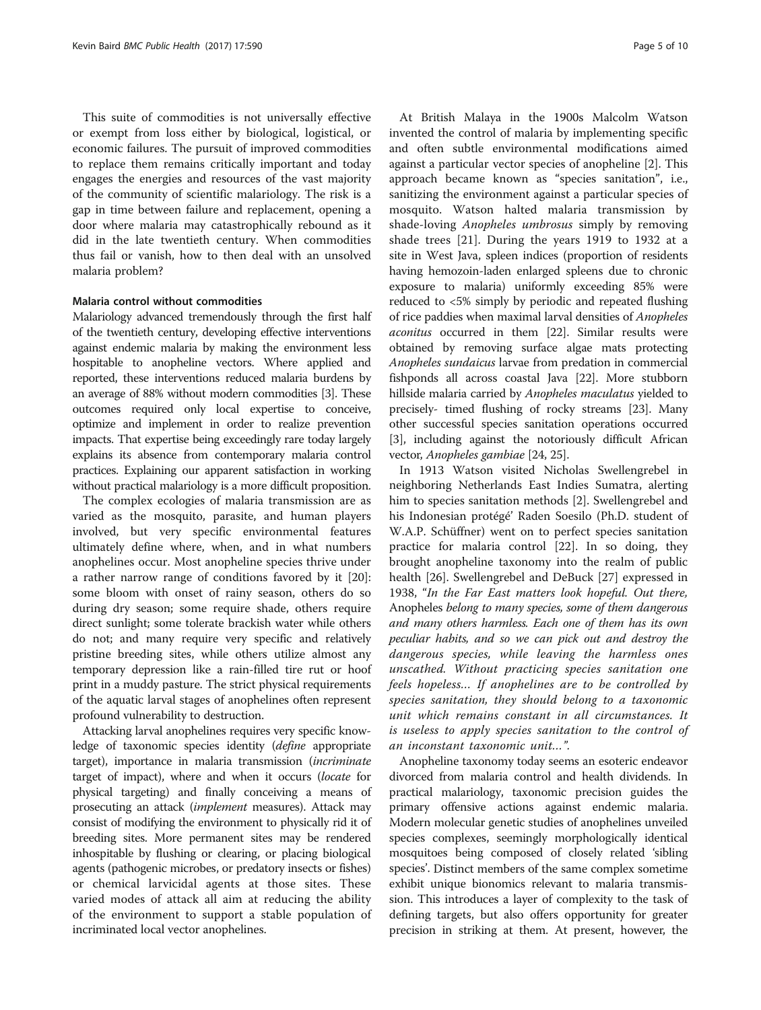This suite of commodities is not universally effective or exempt from loss either by biological, logistical, or economic failures. The pursuit of improved commodities to replace them remains critically important and today engages the energies and resources of the vast majority of the community of scientific malariology. The risk is a gap in time between failure and replacement, opening a door where malaria may catastrophically rebound as it did in the late twentieth century. When commodities thus fail or vanish, how to then deal with an unsolved malaria problem?

#### Malaria control without commodities

Malariology advanced tremendously through the first half of the twentieth century, developing effective interventions against endemic malaria by making the environment less hospitable to anopheline vectors. Where applied and reported, these interventions reduced malaria burdens by an average of 88% without modern commodities [\[3](#page-8-0)]. These outcomes required only local expertise to conceive, optimize and implement in order to realize prevention impacts. That expertise being exceedingly rare today largely explains its absence from contemporary malaria control practices. Explaining our apparent satisfaction in working without practical malariology is a more difficult proposition.

The complex ecologies of malaria transmission are as varied as the mosquito, parasite, and human players involved, but very specific environmental features ultimately define where, when, and in what numbers anophelines occur. Most anopheline species thrive under a rather narrow range of conditions favored by it [\[20](#page-8-0)]: some bloom with onset of rainy season, others do so during dry season; some require shade, others require direct sunlight; some tolerate brackish water while others do not; and many require very specific and relatively pristine breeding sites, while others utilize almost any temporary depression like a rain-filled tire rut or hoof print in a muddy pasture. The strict physical requirements of the aquatic larval stages of anophelines often represent profound vulnerability to destruction.

Attacking larval anophelines requires very specific knowledge of taxonomic species identity (define appropriate target), importance in malaria transmission (incriminate target of impact), where and when it occurs (locate for physical targeting) and finally conceiving a means of prosecuting an attack (implement measures). Attack may consist of modifying the environment to physically rid it of breeding sites. More permanent sites may be rendered inhospitable by flushing or clearing, or placing biological agents (pathogenic microbes, or predatory insects or fishes) or chemical larvicidal agents at those sites. These varied modes of attack all aim at reducing the ability of the environment to support a stable population of incriminated local vector anophelines.

At British Malaya in the 1900s Malcolm Watson invented the control of malaria by implementing specific and often subtle environmental modifications aimed against a particular vector species of anopheline [\[2](#page-8-0)]. This approach became known as "species sanitation", i.e., sanitizing the environment against a particular species of mosquito. Watson halted malaria transmission by shade-loving *Anopheles umbrosus* simply by removing shade trees [[21\]](#page-8-0). During the years 1919 to 1932 at a site in West Java, spleen indices (proportion of residents having hemozoin-laden enlarged spleens due to chronic exposure to malaria) uniformly exceeding 85% were reduced to <5% simply by periodic and repeated flushing of rice paddies when maximal larval densities of Anopheles aconitus occurred in them [[22\]](#page-8-0). Similar results were obtained by removing surface algae mats protecting Anopheles sundaicus larvae from predation in commercial fishponds all across coastal Java [[22](#page-8-0)]. More stubborn hillside malaria carried by Anopheles maculatus yielded to precisely- timed flushing of rocky streams [\[23\]](#page-8-0). Many other successful species sanitation operations occurred [[3\]](#page-8-0), including against the notoriously difficult African vector, Anopheles gambiae [\[24](#page-8-0), [25](#page-8-0)].

In 1913 Watson visited Nicholas Swellengrebel in neighboring Netherlands East Indies Sumatra, alerting him to species sanitation methods [\[2](#page-8-0)]. Swellengrebel and his Indonesian protégé' Raden Soesilo (Ph.D. student of W.A.P. Schüffner) went on to perfect species sanitation practice for malaria control [\[22](#page-8-0)]. In so doing, they brought anopheline taxonomy into the realm of public health [\[26](#page-8-0)]. Swellengrebel and DeBuck [\[27](#page-8-0)] expressed in 1938, "In the Far East matters look hopeful. Out there, Anopheles belong to many species, some of them dangerous and many others harmless. Each one of them has its own peculiar habits, and so we can pick out and destroy the dangerous species, while leaving the harmless ones unscathed. Without practicing species sanitation one feels hopeless… If anophelines are to be controlled by species sanitation, they should belong to a taxonomic unit which remains constant in all circumstances. It is useless to apply species sanitation to the control of an inconstant taxonomic unit…".

Anopheline taxonomy today seems an esoteric endeavor divorced from malaria control and health dividends. In practical malariology, taxonomic precision guides the primary offensive actions against endemic malaria. Modern molecular genetic studies of anophelines unveiled species complexes, seemingly morphologically identical mosquitoes being composed of closely related 'sibling species'. Distinct members of the same complex sometime exhibit unique bionomics relevant to malaria transmission. This introduces a layer of complexity to the task of defining targets, but also offers opportunity for greater precision in striking at them. At present, however, the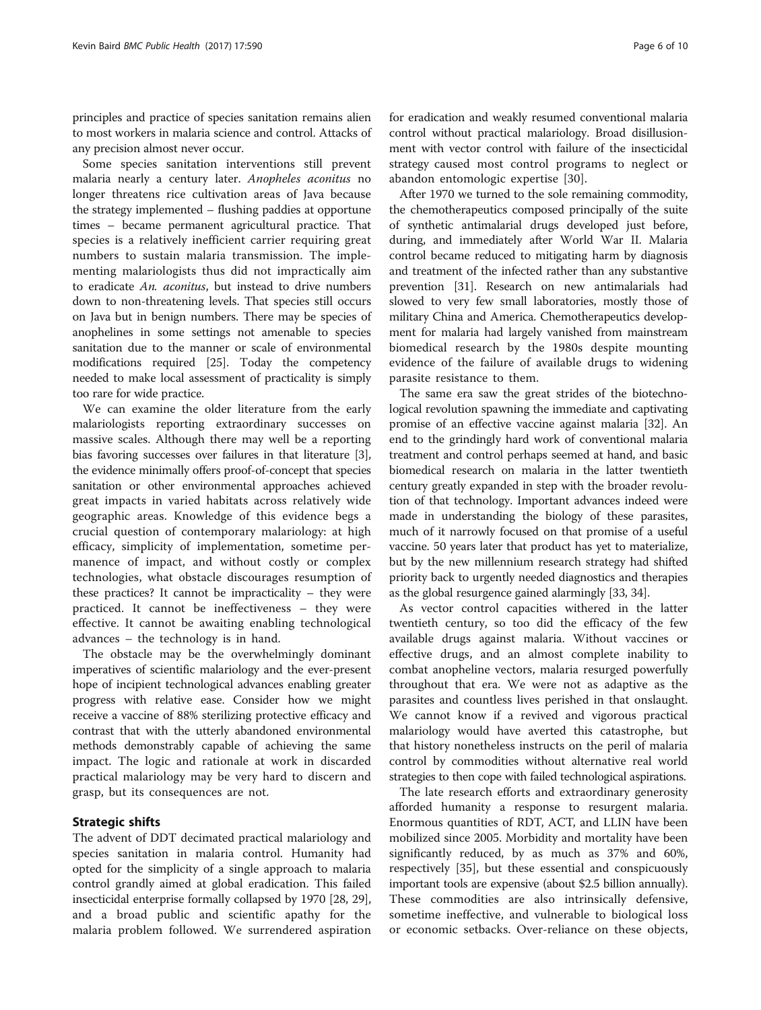principles and practice of species sanitation remains alien to most workers in malaria science and control. Attacks of any precision almost never occur.

Some species sanitation interventions still prevent malaria nearly a century later. Anopheles aconitus no longer threatens rice cultivation areas of Java because the strategy implemented – flushing paddies at opportune times – became permanent agricultural practice. That species is a relatively inefficient carrier requiring great numbers to sustain malaria transmission. The implementing malariologists thus did not impractically aim to eradicate An. aconitus, but instead to drive numbers down to non-threatening levels. That species still occurs on Java but in benign numbers. There may be species of anophelines in some settings not amenable to species sanitation due to the manner or scale of environmental modifications required [\[25](#page-8-0)]. Today the competency needed to make local assessment of practicality is simply too rare for wide practice.

We can examine the older literature from the early malariologists reporting extraordinary successes on massive scales. Although there may well be a reporting bias favoring successes over failures in that literature [[3](#page-8-0)], the evidence minimally offers proof-of-concept that species sanitation or other environmental approaches achieved great impacts in varied habitats across relatively wide geographic areas. Knowledge of this evidence begs a crucial question of contemporary malariology: at high efficacy, simplicity of implementation, sometime permanence of impact, and without costly or complex technologies, what obstacle discourages resumption of these practices? It cannot be impracticality – they were practiced. It cannot be ineffectiveness – they were effective. It cannot be awaiting enabling technological advances – the technology is in hand.

The obstacle may be the overwhelmingly dominant imperatives of scientific malariology and the ever-present hope of incipient technological advances enabling greater progress with relative ease. Consider how we might receive a vaccine of 88% sterilizing protective efficacy and contrast that with the utterly abandoned environmental methods demonstrably capable of achieving the same impact. The logic and rationale at work in discarded practical malariology may be very hard to discern and grasp, but its consequences are not.

#### Strategic shifts

The advent of DDT decimated practical malariology and species sanitation in malaria control. Humanity had opted for the simplicity of a single approach to malaria control grandly aimed at global eradication. This failed insecticidal enterprise formally collapsed by 1970 [[28, 29](#page-8-0)], and a broad public and scientific apathy for the malaria problem followed. We surrendered aspiration

for eradication and weakly resumed conventional malaria control without practical malariology. Broad disillusionment with vector control with failure of the insecticidal strategy caused most control programs to neglect or abandon entomologic expertise [\[30](#page-8-0)].

After 1970 we turned to the sole remaining commodity, the chemotherapeutics composed principally of the suite of synthetic antimalarial drugs developed just before, during, and immediately after World War II. Malaria control became reduced to mitigating harm by diagnosis and treatment of the infected rather than any substantive prevention [\[31\]](#page-8-0). Research on new antimalarials had slowed to very few small laboratories, mostly those of military China and America. Chemotherapeutics development for malaria had largely vanished from mainstream biomedical research by the 1980s despite mounting evidence of the failure of available drugs to widening parasite resistance to them.

The same era saw the great strides of the biotechnological revolution spawning the immediate and captivating promise of an effective vaccine against malaria [\[32\]](#page-8-0). An end to the grindingly hard work of conventional malaria treatment and control perhaps seemed at hand, and basic biomedical research on malaria in the latter twentieth century greatly expanded in step with the broader revolution of that technology. Important advances indeed were made in understanding the biology of these parasites, much of it narrowly focused on that promise of a useful vaccine. 50 years later that product has yet to materialize, but by the new millennium research strategy had shifted priority back to urgently needed diagnostics and therapies as the global resurgence gained alarmingly [[33](#page-8-0), [34\]](#page-8-0).

As vector control capacities withered in the latter twentieth century, so too did the efficacy of the few available drugs against malaria. Without vaccines or effective drugs, and an almost complete inability to combat anopheline vectors, malaria resurged powerfully throughout that era. We were not as adaptive as the parasites and countless lives perished in that onslaught. We cannot know if a revived and vigorous practical malariology would have averted this catastrophe, but that history nonetheless instructs on the peril of malaria control by commodities without alternative real world strategies to then cope with failed technological aspirations.

The late research efforts and extraordinary generosity afforded humanity a response to resurgent malaria. Enormous quantities of RDT, ACT, and LLIN have been mobilized since 2005. Morbidity and mortality have been significantly reduced, by as much as 37% and 60%, respectively [[35\]](#page-8-0), but these essential and conspicuously important tools are expensive (about \$2.5 billion annually). These commodities are also intrinsically defensive, sometime ineffective, and vulnerable to biological loss or economic setbacks. Over-reliance on these objects,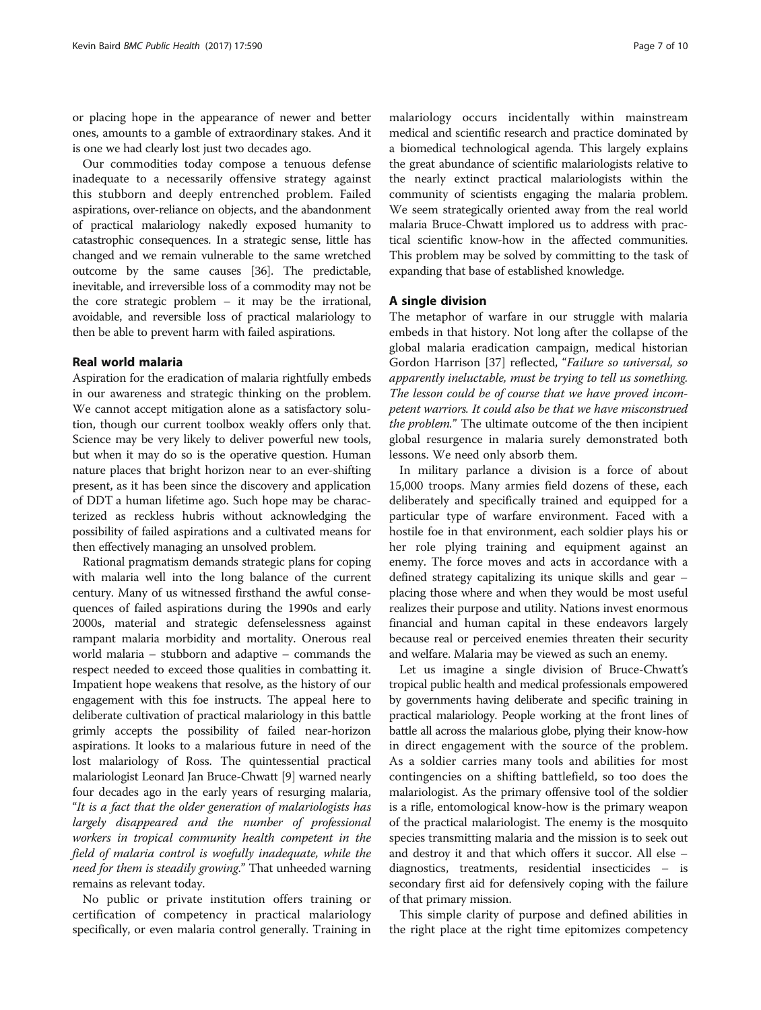or placing hope in the appearance of newer and better ones, amounts to a gamble of extraordinary stakes. And it is one we had clearly lost just two decades ago.

Our commodities today compose a tenuous defense inadequate to a necessarily offensive strategy against this stubborn and deeply entrenched problem. Failed aspirations, over-reliance on objects, and the abandonment of practical malariology nakedly exposed humanity to catastrophic consequences. In a strategic sense, little has changed and we remain vulnerable to the same wretched outcome by the same causes [[36\]](#page-8-0). The predictable, inevitable, and irreversible loss of a commodity may not be the core strategic problem – it may be the irrational, avoidable, and reversible loss of practical malariology to then be able to prevent harm with failed aspirations.

#### Real world malaria

Aspiration for the eradication of malaria rightfully embeds in our awareness and strategic thinking on the problem. We cannot accept mitigation alone as a satisfactory solution, though our current toolbox weakly offers only that. Science may be very likely to deliver powerful new tools, but when it may do so is the operative question. Human nature places that bright horizon near to an ever-shifting present, as it has been since the discovery and application of DDT a human lifetime ago. Such hope may be characterized as reckless hubris without acknowledging the possibility of failed aspirations and a cultivated means for then effectively managing an unsolved problem.

Rational pragmatism demands strategic plans for coping with malaria well into the long balance of the current century. Many of us witnessed firsthand the awful consequences of failed aspirations during the 1990s and early 2000s, material and strategic defenselessness against rampant malaria morbidity and mortality. Onerous real world malaria – stubborn and adaptive – commands the respect needed to exceed those qualities in combatting it. Impatient hope weakens that resolve, as the history of our engagement with this foe instructs. The appeal here to deliberate cultivation of practical malariology in this battle grimly accepts the possibility of failed near-horizon aspirations. It looks to a malarious future in need of the lost malariology of Ross. The quintessential practical malariologist Leonard Jan Bruce-Chwatt [\[9](#page-8-0)] warned nearly four decades ago in the early years of resurging malaria, "It is a fact that the older generation of malariologists has largely disappeared and the number of professional workers in tropical community health competent in the field of malaria control is woefully inadequate, while the need for them is steadily growing." That unheeded warning remains as relevant today.

No public or private institution offers training or certification of competency in practical malariology specifically, or even malaria control generally. Training in

malariology occurs incidentally within mainstream medical and scientific research and practice dominated by a biomedical technological agenda. This largely explains the great abundance of scientific malariologists relative to the nearly extinct practical malariologists within the community of scientists engaging the malaria problem. We seem strategically oriented away from the real world malaria Bruce-Chwatt implored us to address with practical scientific know-how in the affected communities. This problem may be solved by committing to the task of expanding that base of established knowledge.

#### A single division

The metaphor of warfare in our struggle with malaria embeds in that history. Not long after the collapse of the global malaria eradication campaign, medical historian Gordon Harrison [[37\]](#page-9-0) reflected, "Failure so universal, so apparently ineluctable, must be trying to tell us something. The lesson could be of course that we have proved incompetent warriors. It could also be that we have misconstrued the problem." The ultimate outcome of the then incipient global resurgence in malaria surely demonstrated both lessons. We need only absorb them.

In military parlance a division is a force of about 15,000 troops. Many armies field dozens of these, each deliberately and specifically trained and equipped for a particular type of warfare environment. Faced with a hostile foe in that environment, each soldier plays his or her role plying training and equipment against an enemy. The force moves and acts in accordance with a defined strategy capitalizing its unique skills and gear – placing those where and when they would be most useful realizes their purpose and utility. Nations invest enormous financial and human capital in these endeavors largely because real or perceived enemies threaten their security and welfare. Malaria may be viewed as such an enemy.

Let us imagine a single division of Bruce-Chwatt's tropical public health and medical professionals empowered by governments having deliberate and specific training in practical malariology. People working at the front lines of battle all across the malarious globe, plying their know-how in direct engagement with the source of the problem. As a soldier carries many tools and abilities for most contingencies on a shifting battlefield, so too does the malariologist. As the primary offensive tool of the soldier is a rifle, entomological know-how is the primary weapon of the practical malariologist. The enemy is the mosquito species transmitting malaria and the mission is to seek out and destroy it and that which offers it succor. All else – diagnostics, treatments, residential insecticides – is secondary first aid for defensively coping with the failure of that primary mission.

This simple clarity of purpose and defined abilities in the right place at the right time epitomizes competency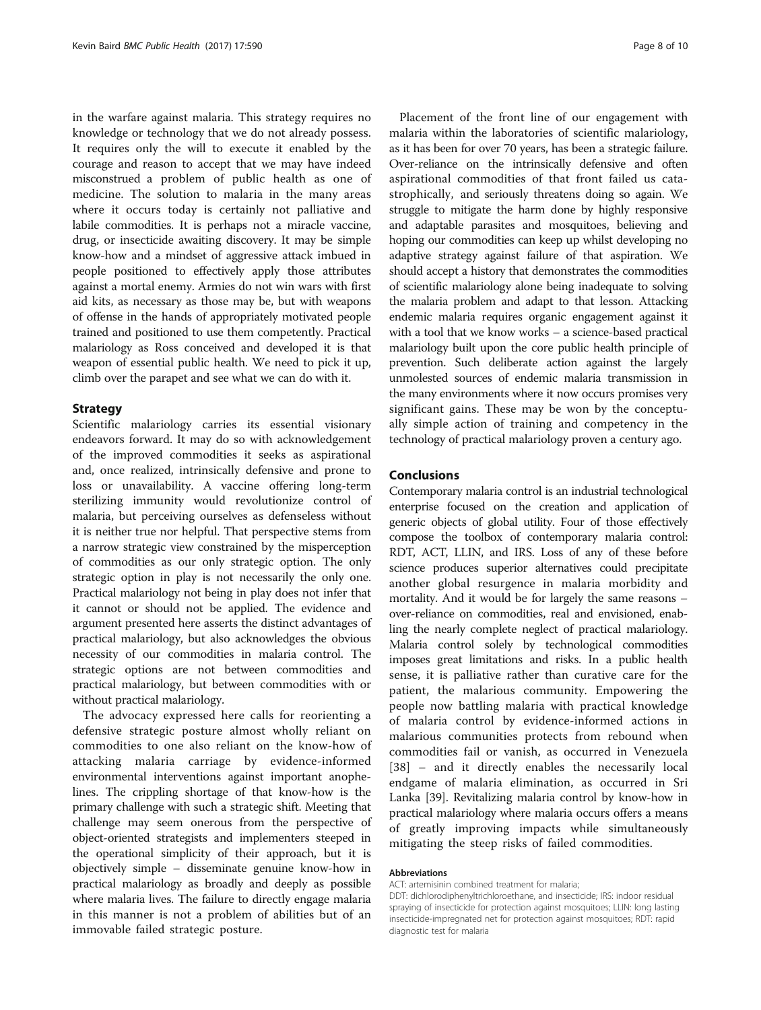in the warfare against malaria. This strategy requires no knowledge or technology that we do not already possess. It requires only the will to execute it enabled by the courage and reason to accept that we may have indeed misconstrued a problem of public health as one of medicine. The solution to malaria in the many areas where it occurs today is certainly not palliative and labile commodities. It is perhaps not a miracle vaccine, drug, or insecticide awaiting discovery. It may be simple know-how and a mindset of aggressive attack imbued in people positioned to effectively apply those attributes against a mortal enemy. Armies do not win wars with first aid kits, as necessary as those may be, but with weapons of offense in the hands of appropriately motivated people trained and positioned to use them competently. Practical malariology as Ross conceived and developed it is that weapon of essential public health. We need to pick it up, climb over the parapet and see what we can do with it.

### Strategy

Scientific malariology carries its essential visionary endeavors forward. It may do so with acknowledgement of the improved commodities it seeks as aspirational and, once realized, intrinsically defensive and prone to loss or unavailability. A vaccine offering long-term sterilizing immunity would revolutionize control of malaria, but perceiving ourselves as defenseless without it is neither true nor helpful. That perspective stems from a narrow strategic view constrained by the misperception of commodities as our only strategic option. The only strategic option in play is not necessarily the only one. Practical malariology not being in play does not infer that it cannot or should not be applied. The evidence and argument presented here asserts the distinct advantages of practical malariology, but also acknowledges the obvious necessity of our commodities in malaria control. The strategic options are not between commodities and practical malariology, but between commodities with or without practical malariology.

The advocacy expressed here calls for reorienting a defensive strategic posture almost wholly reliant on commodities to one also reliant on the know-how of attacking malaria carriage by evidence-informed environmental interventions against important anophelines. The crippling shortage of that know-how is the primary challenge with such a strategic shift. Meeting that challenge may seem onerous from the perspective of object-oriented strategists and implementers steeped in the operational simplicity of their approach, but it is objectively simple – disseminate genuine know-how in practical malariology as broadly and deeply as possible where malaria lives. The failure to directly engage malaria in this manner is not a problem of abilities but of an immovable failed strategic posture.

Placement of the front line of our engagement with malaria within the laboratories of scientific malariology, as it has been for over 70 years, has been a strategic failure. Over-reliance on the intrinsically defensive and often aspirational commodities of that front failed us catastrophically, and seriously threatens doing so again. We struggle to mitigate the harm done by highly responsive and adaptable parasites and mosquitoes, believing and hoping our commodities can keep up whilst developing no adaptive strategy against failure of that aspiration. We should accept a history that demonstrates the commodities of scientific malariology alone being inadequate to solving the malaria problem and adapt to that lesson. Attacking endemic malaria requires organic engagement against it with a tool that we know works – a science-based practical malariology built upon the core public health principle of prevention. Such deliberate action against the largely unmolested sources of endemic malaria transmission in the many environments where it now occurs promises very significant gains. These may be won by the conceptually simple action of training and competency in the technology of practical malariology proven a century ago.

### Conclusions

Contemporary malaria control is an industrial technological enterprise focused on the creation and application of generic objects of global utility. Four of those effectively compose the toolbox of contemporary malaria control: RDT, ACT, LLIN, and IRS. Loss of any of these before science produces superior alternatives could precipitate another global resurgence in malaria morbidity and mortality. And it would be for largely the same reasons – over-reliance on commodities, real and envisioned, enabling the nearly complete neglect of practical malariology. Malaria control solely by technological commodities imposes great limitations and risks. In a public health sense, it is palliative rather than curative care for the patient, the malarious community. Empowering the people now battling malaria with practical knowledge of malaria control by evidence-informed actions in malarious communities protects from rebound when commodities fail or vanish, as occurred in Venezuela [[38\]](#page-9-0) – and it directly enables the necessarily local endgame of malaria elimination, as occurred in Sri Lanka [\[39\]](#page-9-0). Revitalizing malaria control by know-how in practical malariology where malaria occurs offers a means of greatly improving impacts while simultaneously mitigating the steep risks of failed commodities.

#### Abbreviations

ACT: artemisinin combined treatment for malaria; DDT: dichlorodiphenyltrichloroethane, and insecticide; IRS: indoor residual spraying of insecticide for protection against mosquitoes; LLIN: long lasting insecticide-impregnated net for protection against mosquitoes; RDT: rapid diagnostic test for malaria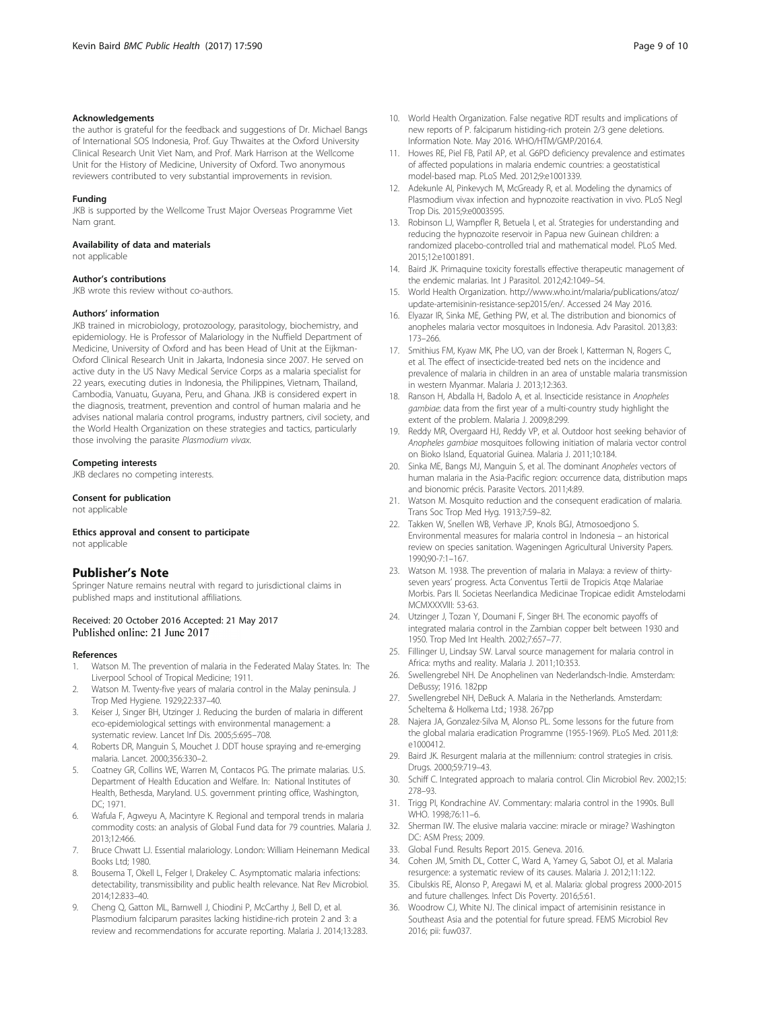#### <span id="page-8-0"></span>Acknowledgements

the author is grateful for the feedback and suggestions of Dr. Michael Bangs of International SOS Indonesia, Prof. Guy Thwaites at the Oxford University Clinical Research Unit Viet Nam, and Prof. Mark Harrison at the Wellcome Unit for the History of Medicine, University of Oxford. Two anonymous reviewers contributed to very substantial improvements in revision.

#### Funding

JKB is supported by the Wellcome Trust Major Overseas Programme Viet Nam grant.

#### Availability of data and materials

not applicable

#### Author's contributions

JKB wrote this review without co-authors.

#### Authors' information

JKB trained in microbiology, protozoology, parasitology, biochemistry, and epidemiology. He is Professor of Malariology in the Nuffield Department of Medicine, University of Oxford and has been Head of Unit at the Eijkman-Oxford Clinical Research Unit in Jakarta, Indonesia since 2007. He served on active duty in the US Navy Medical Service Corps as a malaria specialist for 22 years, executing duties in Indonesia, the Philippines, Vietnam, Thailand, Cambodia, Vanuatu, Guyana, Peru, and Ghana. JKB is considered expert in the diagnosis, treatment, prevention and control of human malaria and he advises national malaria control programs, industry partners, civil society, and the World Health Organization on these strategies and tactics, particularly those involving the parasite Plasmodium vivax.

#### Competing interests

JKB declares no competing interests.

#### Consent for publication

not applicable

#### Ethics approval and consent to participate not applicable

#### Publisher's Note

Springer Nature remains neutral with regard to jurisdictional claims in published maps and institutional affiliations.

#### Received: 20 October 2016 Accepted: 21 May 2017 Published online: 21 June 2017

#### References

- Watson M. The prevention of malaria in the Federated Malay States. In: The Liverpool School of Tropical Medicine; 1911.
- 2. Watson M. Twenty-five years of malaria control in the Malay peninsula. J Trop Med Hygiene. 1929;22:337–40.
- 3. Keiser J, Singer BH, Utzinger J. Reducing the burden of malaria in different eco-epidemiological settings with environmental management: a systematic review. Lancet Inf Dis. 2005;5:695–708.
- 4. Roberts DR, Manguin S, Mouchet J. DDT house spraying and re-emerging malaria. Lancet. 2000;356:330–2.
- 5. Coatney GR, Collins WE, Warren M, Contacos PG. The primate malarias. U.S. Department of Health Education and Welfare. In: National Institutes of Health, Bethesda, Maryland. U.S. government printing office, Washington, DC; 1971.
- 6. Wafula F, Agweyu A, Macintyre K. Regional and temporal trends in malaria commodity costs: an analysis of Global Fund data for 79 countries. Malaria J. 2013;12:466.
- 7. Bruce Chwatt LJ. Essential malariology. London: William Heinemann Medical Books Ltd; 1980.
- 8. Bousema T, Okell L, Felger I, Drakeley C. Asymptomatic malaria infections: detectability, transmissibility and public health relevance. Nat Rev Microbiol. 2014;12:833–40.
- 9. Cheng Q, Gatton ML, Barnwell J, Chiodini P, McCarthy J, Bell D, et al. Plasmodium falciparum parasites lacking histidine-rich protein 2 and 3: a review and recommendations for accurate reporting. Malaria J. 2014;13:283.
- 10. World Health Organization. False negative RDT results and implications of new reports of P. falciparum histiding-rich protein 2/3 gene deletions. Information Note. May 2016. WHO/HTM/GMP/2016.4.
- 11. Howes RE, Piel FB, Patil AP, et al. G6PD deficiency prevalence and estimates of affected populations in malaria endemic countries: a geostatistical model-based map. PLoS Med. 2012;9:e1001339.
- 12. Adekunle AI, Pinkevych M, McGready R, et al. Modeling the dynamics of Plasmodium vivax infection and hypnozoite reactivation in vivo. PLoS Negl Trop Dis. 2015;9:e0003595.
- 13. Robinson LJ, Wampfler R, Betuela I, et al. Strategies for understanding and reducing the hypnozoite reservoir in Papua new Guinean children: a randomized placebo-controlled trial and mathematical model. PLoS Med. 2015;12:e1001891.
- 14. Baird JK. Primaquine toxicity forestalls effective therapeutic management of the endemic malarias. Int J Parasitol. 2012;42:1049–54.
- 15. World Health Organization. [http://www.who.int/malaria/publications/atoz/](http://www.who.int/malaria/publications/atoz/update-artemisinin-resistance-sep2015/en/) [update-artemisinin-resistance-sep2015/en/.](http://www.who.int/malaria/publications/atoz/update-artemisinin-resistance-sep2015/en/) Accessed 24 May 2016.
- 16. Elyazar IR, Sinka ME, Gething PW, et al. The distribution and bionomics of anopheles malaria vector mosquitoes in Indonesia. Adv Parasitol. 2013;83: 173–266.
- 17. Smithius FM, Kyaw MK, Phe UO, van der Broek I, Katterman N, Rogers C, et al. The effect of insecticide-treated bed nets on the incidence and prevalence of malaria in children in an area of unstable malaria transmission in western Myanmar. Malaria J. 2013;12:363.
- 18. Ranson H, Abdalla H, Badolo A, et al. Insecticide resistance in Anopheles gambiae: data from the first year of a multi-country study highlight the extent of the problem. Malaria J. 2009;8:299.
- 19. Reddy MR, Overgaard HJ, Reddy VP, et al. Outdoor host seeking behavior of Anopheles gambiae mosquitoes following initiation of malaria vector control on Bioko Island, Equatorial Guinea. Malaria J. 2011;10:184.
- 20. Sinka ME, Bangs MJ, Manguin S, et al. The dominant Anopheles vectors of human malaria in the Asia-Pacific region: occurrence data, distribution maps and bionomic précis. Parasite Vectors. 2011;4:89.
- 21. Watson M. Mosquito reduction and the consequent eradication of malaria. Trans Soc Trop Med Hyg. 1913;7:59–82.
- 22. Takken W, Snellen WB, Verhave JP, Knols BGJ, Atmosoedjono S. Environmental measures for malaria control in Indonesia – an historical review on species sanitation. Wageningen Agricultural University Papers. 1990;90-7:1–167.
- 23. Watson M. 1938. The prevention of malaria in Malaya: a review of thirtyseven years' progress. Acta Conventus Tertii de Tropicis Atqe Malariae Morbis. Pars II. Societas Neerlandica Medicinae Tropicae edidit Amstelodami MCMXXXVIII: 53-63.
- 24. Utzinger J, Tozan Y, Doumani F, Singer BH. The economic payoffs of integrated malaria control in the Zambian copper belt between 1930 and 1950. Trop Med Int Health. 2002;7:657–77.
- 25. Fillinger U, Lindsay SW. Larval source management for malaria control in Africa: myths and reality. Malaria J. 2011;10:353.
- 26. Swellengrebel NH. De Anophelinen van Nederlandsch-Indie. Amsterdam: DeBussy; 1916. 182pp
- 27. Swellengrebel NH, DeBuck A. Malaria in the Netherlands. Amsterdam: Scheltema & Holkema Ltd.; 1938. 267pp
- 28. Najera JA, Gonzalez-Silva M, Alonso PL. Some lessons for the future from the global malaria eradication Programme (1955-1969). PLoS Med. 2011;8: e1000412.
- 29. Baird JK. Resurgent malaria at the millennium: control strategies in crisis. Drugs. 2000;59:719–43.
- 30. Schiff C. Integrated approach to malaria control. Clin Microbiol Rev. 2002;15: 278–93.
- 31. Trigg PI, Kondrachine AV. Commentary: malaria control in the 1990s. Bull WHO. 1998;76:11–6.
- 32. Sherman IW. The elusive malaria vaccine: miracle or mirage? Washington DC: ASM Press; 2009.
- 33. Global Fund. Results Report 2015. Geneva. 2016.
- 34. Cohen JM, Smith DL, Cotter C, Ward A, Yamey G, Sabot OJ, et al. Malaria resurgence: a systematic review of its causes. Malaria J. 2012;11:122.
- 35. Cibulskis RE, Alonso P, Aregawi M, et al. Malaria: global progress 2000-2015 and future challenges. Infect Dis Poverty. 2016;5:61.
- 36. Woodrow CJ, White NJ. The clinical impact of artemisinin resistance in Southeast Asia and the potential for future spread. FEMS Microbiol Rev 2016; pii: fuw037.